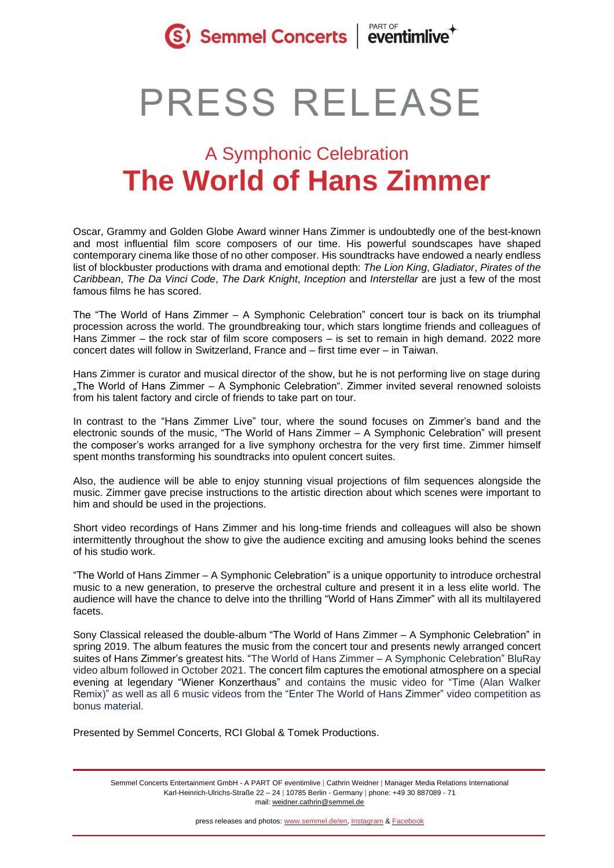

PRESS RELEASE

# A Symphonic Celebration **The World of Hans Zimmer**

Oscar, Grammy and Golden Globe Award winner Hans Zimmer is undoubtedly one of the best-known and most influential film score composers of our time. His powerful soundscapes have shaped contemporary cinema like those of no other composer. His soundtracks have endowed a nearly endless list of blockbuster productions with drama and emotional depth: *The Lion King*, *Gladiator*, *Pirates of the Caribbean*, *The Da Vinci Code*, *The Dark Knight*, *Inception* and *Interstellar* are just a few of the most famous films he has scored.

The "The World of Hans Zimmer – A Symphonic Celebration" concert tour is back on its triumphal procession across the world. The groundbreaking tour, which stars longtime friends and colleagues of Hans Zimmer – the rock star of film score composers – is set to remain in high demand. 2022 more concert dates will follow in Switzerland, France and – first time ever – in Taiwan.

Hans Zimmer is curator and musical director of the show, but he is not performing live on stage during "The World of Hans Zimmer - A Symphonic Celebration". Zimmer invited several renowned soloists from his talent factory and circle of friends to take part on tour.

In contrast to the "Hans Zimmer Live" tour, where the sound focuses on Zimmer's band and the electronic sounds of the music, "The World of Hans Zimmer – A Symphonic Celebration" will present the composer's works arranged for a live symphony orchestra for the very first time. Zimmer himself spent months transforming his soundtracks into opulent concert suites.

Also, the audience will be able to enjoy stunning visual projections of film sequences alongside the music. Zimmer gave precise instructions to the artistic direction about which scenes were important to him and should be used in the projections.

Short video recordings of Hans Zimmer and his long-time friends and colleagues will also be shown intermittently throughout the show to give the audience exciting and amusing looks behind the scenes of his studio work.

"The World of Hans Zimmer – A Symphonic Celebration" is a unique opportunity to introduce orchestral music to a new generation, to preserve the orchestral culture and present it in a less elite world. The audience will have the chance to delve into the thrilling "World of Hans Zimmer" with all its multilayered facets.

Sony Classical released the double-album "The World of Hans Zimmer – A Symphonic Celebration" in spring 2019. The album features the music from the concert tour and presents newly arranged concert suites of Hans Zimmer's greatest hits. "The World of Hans Zimmer – A Symphonic Celebration" BluRay video album followed in October 2021. The concert film captures the emotional atmosphere on a special evening at legendary "Wiener Konzerthaus" and contains the music video for "Time (Alan Walker Remix)" as well as all 6 music videos from the "Enter The World of Hans Zimmer" video competition as bonus material.

Presented by Semmel Concerts, RCI Global & Tomek Productions.

Semmel Concerts Entertainment GmbH - A PART OF eventimlive | Cathrin Weidner | Manager Media Relations International Karl-Heinrich-Ulrichs-Straße 22 – 24 | 10785 Berlin - Germany | phone: +49 30 887089 - 71 mail: [weidner.cathrin@semmel.de](mailto:weidner.cathrin@semmel.de)